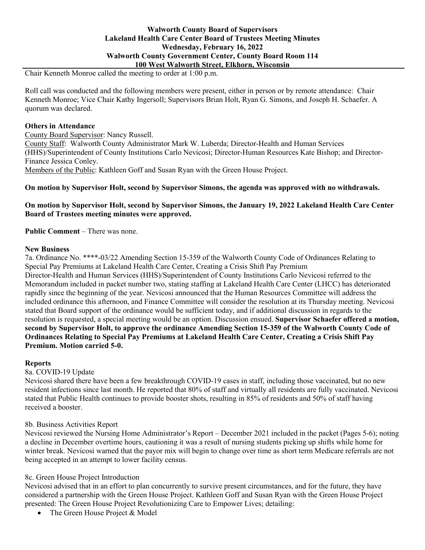### **Walworth County Board of Supervisors Lakeland Health Care Center Board of Trustees Meeting Minutes Wednesday, February 16, 2022 Walworth County Government Center, County Board Room 114 100 West Walworth Street, Elkhorn, Wisconsin**

Chair Kenneth Monroe called the meeting to order at 1:00 p.m.

Roll call was conducted and the following members were present, either in person or by remote attendance: Chair Kenneth Monroe; Vice Chair Kathy Ingersoll; Supervisors Brian Holt, Ryan G. Simons, and Joseph H. Schaefer. A quorum was declared.

### **Others in Attendance**

County Board Supervisor: Nancy Russell. County Staff: Walworth County Administrator Mark W. Luberda; Director-Health and Human Services (HHS)/Superintendent of County Institutions Carlo Nevicosi; Director-Human Resources Kate Bishop; and Director-Finance Jessica Conley. Members of the Public: Kathleen Goff and Susan Ryan with the Green House Project.

### **On motion by Supervisor Holt, second by Supervisor Simons, the agenda was approved with no withdrawals.**

### **On motion by Supervisor Holt, second by Supervisor Simons, the January 19, 2022 Lakeland Health Care Center Board of Trustees meeting minutes were approved.**

**Public Comment** – There was none.

### **New Business**

7a. Ordinance No. \*\*\*\*-03/22 Amending Section 15-359 of the Walworth County Code of Ordinances Relating to Special Pay Premiums at Lakeland Health Care Center, Creating a Crisis Shift Pay Premium Director-Health and Human Services (HHS)/Superintendent of County Institutions Carlo Nevicosi referred to the Memorandum included in packet number two, stating staffing at Lakeland Health Care Center (LHCC) has deteriorated rapidly since the beginning of the year. Nevicosi announced that the Human Resources Committee will address the included ordinance this afternoon, and Finance Committee will consider the resolution at its Thursday meeting. Nevicosi stated that Board support of the ordinance would be sufficient today, and if additional discussion in regards to the resolution is requested, a special meeting would be an option. Discussion ensued. **Supervisor Schaefer offered a motion, second by Supervisor Holt, to approve the ordinance Amending Section 15-359 of the Walworth County Code of Ordinances Relating to Special Pay Premiums at Lakeland Health Care Center, Creating a Crisis Shift Pay Premium. Motion carried 5-0.**

# **Reports**

8a. COVID-19 Update

Nevicosi shared there have been a few breakthrough COVID-19 cases in staff, including those vaccinated, but no new resident infections since last month. He reported that 80% of staff and virtually all residents are fully vaccinated. Nevicosi stated that Public Health continues to provide booster shots, resulting in 85% of residents and 50% of staff having received a booster.

# 8b. Business Activities Report

Nevicosi reviewed the Nursing Home Administrator's Report – December 2021 included in the packet (Pages 5-6); noting a decline in December overtime hours, cautioning it was a result of nursing students picking up shifts while home for winter break. Nevicosi warned that the payor mix will begin to change over time as short term Medicare referrals are not being accepted in an attempt to lower facility census.

# 8c. Green House Project Introduction

Nevicosi advised that in an effort to plan concurrently to survive present circumstances, and for the future, they have considered a partnership with the Green House Project. Kathleen Goff and Susan Ryan with the Green House Project presented: The Green House Project Revolutionizing Care to Empower Lives; detailing:

• The Green House Project & Model